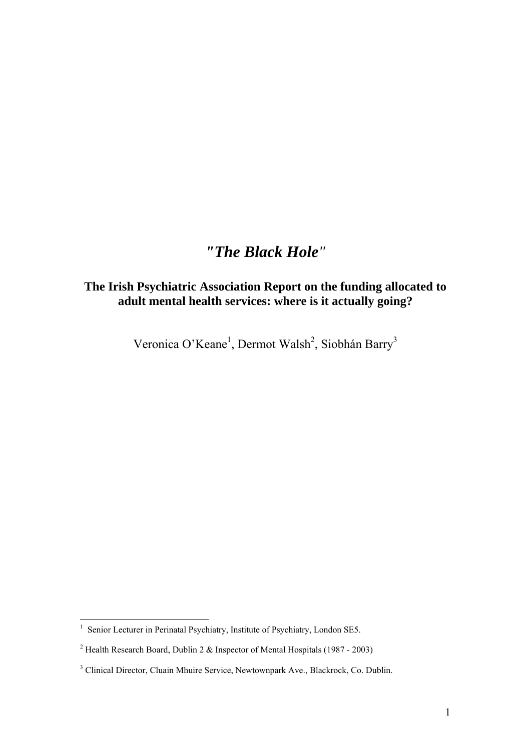# *"The Black Hole"*

# **The Irish Psychiatric Association Report on the funding allocated to adult mental health services: where is it actually going?**

Veronica O'Keane<sup>1</sup>, Dermot Walsh<sup>2</sup>, Siobhán Barry<sup>3</sup>

<sup>&</sup>lt;sup>1</sup> Senior Lecturer in Perinatal Psychiatry, Institute of Psychiatry, London SE5.

<sup>&</sup>lt;sup>2</sup> Health Research Board, Dublin 2 & Inspector of Mental Hospitals (1987 - 2003)

<sup>&</sup>lt;sup>3</sup> Clinical Director, Cluain Mhuire Service, Newtownpark Ave., Blackrock, Co. Dublin.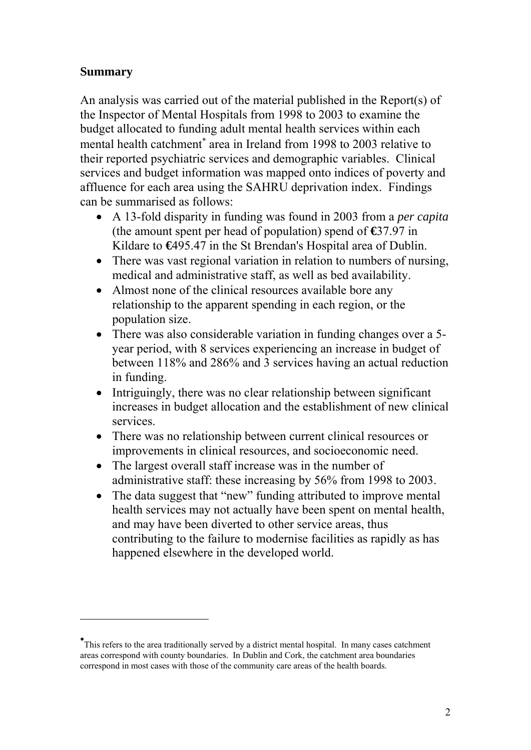## **Summary**

 $\overline{a}$ 

An analysis was carried out of the material published in the Report(s) of the Inspector of Mental Hospitals from 1998 to 2003 to examine the budget allocated to funding adult mental health services within each mental health catchment<sup>\*</sup> area in Ireland from 1998 to 2003 relative to their reported psychiatric services and demographic variables. Clinical services and budget information was mapped onto indices of poverty and affluence for each area using the SAHRU deprivation index. Findings can be summarised as follows:

- A 13-fold disparity in funding was found in 2003 from a *per capita*  (the amount spent per head of population) spend of **€**37.97 in Kildare to **€**495.47 in the St Brendan's Hospital area of Dublin.
- There was vast regional variation in relation to numbers of nursing, medical and administrative staff, as well as bed availability.
- Almost none of the clinical resources available bore any relationship to the apparent spending in each region, or the population size.
- There was also considerable variation in funding changes over a 5year period, with 8 services experiencing an increase in budget of between 118% and 286% and 3 services having an actual reduction in funding.
- Intriguingly, there was no clear relationship between significant increases in budget allocation and the establishment of new clinical services.
- There was no relationship between current clinical resources or improvements in clinical resources, and socioeconomic need.
- The largest overall staff increase was in the number of administrative staff: these increasing by 56% from 1998 to 2003.
- The data suggest that "new" funding attributed to improve mental health services may not actually have been spent on mental health, and may have been diverted to other service areas, thus contributing to the failure to modernise facilities as rapidly as has happened elsewhere in the developed world.

<sup>∗</sup> This refers to the area traditionally served by a district mental hospital. In many cases catchment areas correspond with county boundaries. In Dublin and Cork, the catchment area boundaries correspond in most cases with those of the community care areas of the health boards.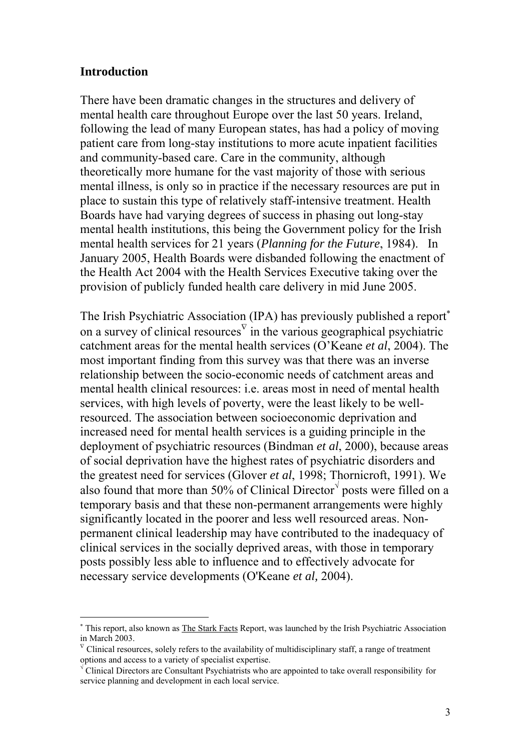#### **Introduction**

 $\overline{a}$ 

There have been dramatic changes in the structures and delivery of mental health care throughout Europe over the last 50 years. Ireland, following the lead of many European states, has had a policy of moving patient care from long-stay institutions to more acute inpatient facilities and community-based care. Care in the community, although theoretically more humane for the vast majority of those with serious mental illness, is only so in practice if the necessary resources are put in place to sustain this type of relatively staff-intensive treatment. Health Boards have had varying degrees of success in phasing out long-stay mental health institutions, this being the Government policy for the Irish mental health services for 21 years (*Planning for the Future*, 1984). In January 2005, Health Boards were disbanded following the enactment of the Health Act 2004 with the Health Services Executive taking over the provision of publicly funded health care delivery in mid June 2005.

The Irish Psychiatric Association (IPA) has previously published a report<sup>∗</sup> on a survey of clinical resources  $\overline{v}$  in the various geographical psychiatric catchment areas for the mental health services (O'Keane *et al*, 2004). The most important finding from this survey was that there was an inverse relationship between the socio-economic needs of catchment areas and mental health clinical resources: i.e. areas most in need of mental health services, with high levels of poverty, were the least likely to be wellresourced. The association between socioeconomic deprivation and increased need for mental health services is a guiding principle in the deployment of psychiatric resources (Bindman *et al*, 2000), because areas of social deprivation have the highest rates of psychiatric disorders and the greatest need for services (Glover *et al*, 1998; Thornicroft, 1991). We also found that more than 50% of Clinical Director $\sqrt{ }$  posts were filled on a temporary basis and that these non-permanent arrangements were highly significantly located in the poorer and less well resourced areas. Nonpermanent clinical leadership may have contributed to the inadequacy of clinical services in the socially deprived areas, with those in temporary posts possibly less able to influence and to effectively advocate for necessary service developments (O'Keane *et al,* 2004).

<sup>∗</sup> This report, also known as The Stark Facts Report, was launched by the Irish Psychiatric Association in March 2003.

 $\overline{V}$  Clinical resources, solely refers to the availability of multidisciplinary staff, a range of treatment options and access to a variety of specialist expertise.

<sup>√</sup> Clinical Directors are Consultant Psychiatrists who are appointed to take overall responsibility for service planning and development in each local service.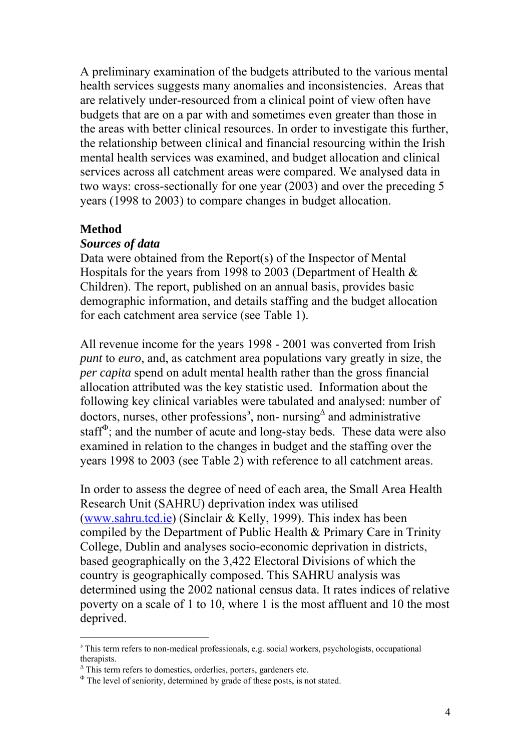A preliminary examination of the budgets attributed to the various mental health services suggests many anomalies and inconsistencies. Areas that are relatively under-resourced from a clinical point of view often have budgets that are on a par with and sometimes even greater than those in the areas with better clinical resources. In order to investigate this further, the relationship between clinical and financial resourcing within the Irish mental health services was examined, and budget allocation and clinical services across all catchment areas were compared. We analysed data in two ways: cross-sectionally for one year (2003) and over the preceding 5 years (1998 to 2003) to compare changes in budget allocation.

#### **Method**

 $\overline{a}$ 

#### *Sources of data*

Data were obtained from the Report(s) of the Inspector of Mental Hospitals for the years from 1998 to 2003 (Department of Health & Children). The report, published on an annual basis, provides basic demographic information, and details staffing and the budget allocation for each catchment area service (see Table 1).

All revenue income for the years 1998 - 2001 was converted from Irish *punt* to *euro*, and, as catchment area populations vary greatly in size, the *per capita* spend on adult mental health rather than the gross financial allocation attributed was the key statistic used. Information about the following key clinical variables were tabulated and analysed: number of doctors, nurses, other professions<sup>3</sup>, non- nursing<sup> $\triangle$ </sup> and administrative staff $\Phi$ ; and the number of acute and long-stay beds. These data were also examined in relation to the changes in budget and the staffing over the years 1998 to 2003 (see Table 2) with reference to all catchment areas.

In order to assess the degree of need of each area, the Small Area Health Research Unit (SAHRU) deprivation index was utilised (www.sahru.tcd.ie) (Sinclair & Kelly, 1999). This index has been compiled by the Department of Public Health & Primary Care in Trinity College, Dublin and analyses socio-economic deprivation in districts, based geographically on the 3,422 Electoral Divisions of which the country is geographically composed. This SAHRU analysis was determined using the 2002 national census data. It rates indices of relative poverty on a scale of 1 to 10, where 1 is the most affluent and 10 the most deprived.

<sup>&</sup>lt;sup>3</sup> This term refers to non-medical professionals, e.g. social workers, psychologists, occupational therapists.

Δ This term refers to domestics, orderlies, porters, gardeners etc.

 $\Phi$ . The level of seniority, determined by grade of these posts, is not stated.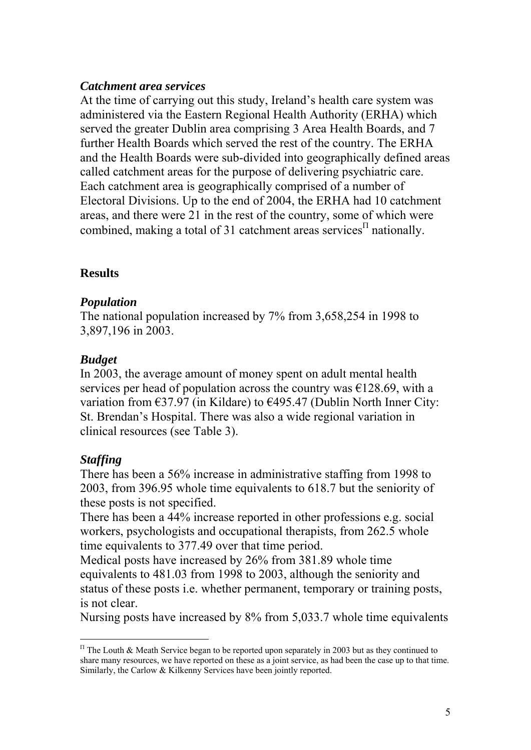### *Catchment area services*

At the time of carrying out this study, Ireland's health care system was administered via the Eastern Regional Health Authority (ERHA) which served the greater Dublin area comprising 3 Area Health Boards, and 7 further Health Boards which served the rest of the country. The ERHA and the Health Boards were sub-divided into geographically defined areas called catchment areas for the purpose of delivering psychiatric care. Each catchment area is geographically comprised of a number of Electoral Divisions. Up to the end of 2004, the ERHA had 10 catchment areas, and there were 21 in the rest of the country, some of which were combined, making a total of 31 catchment areas services<sup> $\Pi$ </sup> nationally.

### **Results**

#### *Population*

The national population increased by 7% from 3,658,254 in 1998 to 3,897,196 in 2003.

### *Budget*

In 2003, the average amount of money spent on adult mental health services per head of population across the country was  $\epsilon$ 128.69, with a variation from €37.97 (in Kildare) to €495.47 (Dublin North Inner City: St. Brendan's Hospital. There was also a wide regional variation in clinical resources (see Table 3).

### *Staffing*

 $\overline{a}$ 

There has been a 56% increase in administrative staffing from 1998 to 2003, from 396.95 whole time equivalents to 618.7 but the seniority of these posts is not specified.

There has been a 44% increase reported in other professions e.g. social workers, psychologists and occupational therapists, from 262.5 whole time equivalents to 377.49 over that time period.

Medical posts have increased by 26% from 381.89 whole time equivalents to 481.03 from 1998 to 2003, although the seniority and status of these posts i.e. whether permanent, temporary or training posts, is not clear.

Nursing posts have increased by 8% from 5,033.7 whole time equivalents

 $<sup>Π</sup>$  The Louth & Meath Service began to be reported upon separately in 2003 but as they continued to</sup> share many resources, we have reported on these as a joint service, as had been the case up to that time. Similarly, the Carlow & Kilkenny Services have been jointly reported.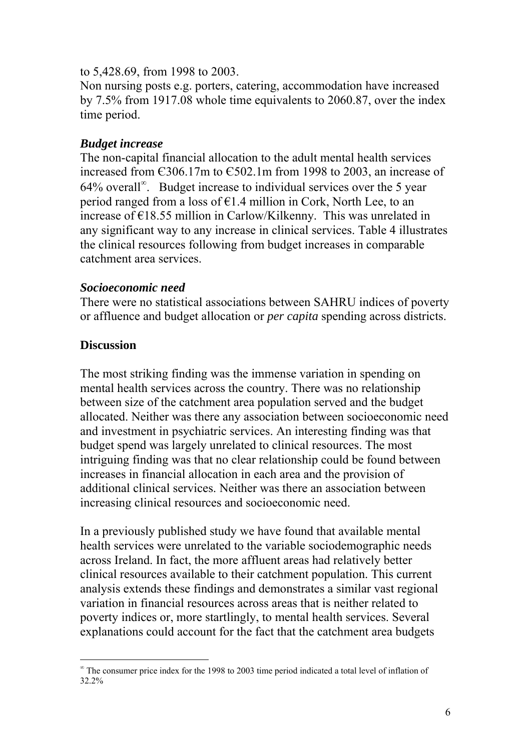#### to 5,428.69, from 1998 to 2003.

Non nursing posts e.g. porters, catering, accommodation have increased by 7.5% from 1917.08 whole time equivalents to 2060.87, over the index time period.

#### *Budget increase*

The non-capital financial allocation to the adult mental health services increased from Є306.17m to Є502.1m from 1998 to 2003, an increase of 64% overall<sup>∞</sup> . Budget increase to individual services over the 5 year period ranged from a loss of  $E1.4$  million in Cork, North Lee, to an increase of €18.55 million in Carlow/Kilkenny. This was unrelated in any significant way to any increase in clinical services. Table 4 illustrates the clinical resources following from budget increases in comparable catchment area services.

### *Socioeconomic need*

There were no statistical associations between SAHRU indices of poverty or affluence and budget allocation or *per capita* spending across districts.

## **Discussion**

 $\overline{a}$ 

The most striking finding was the immense variation in spending on mental health services across the country. There was no relationship between size of the catchment area population served and the budget allocated. Neither was there any association between socioeconomic need and investment in psychiatric services. An interesting finding was that budget spend was largely unrelated to clinical resources. The most intriguing finding was that no clear relationship could be found between increases in financial allocation in each area and the provision of additional clinical services. Neither was there an association between increasing clinical resources and socioeconomic need.

In a previously published study we have found that available mental health services were unrelated to the variable sociodemographic needs across Ireland. In fact, the more affluent areas had relatively better clinical resources available to their catchment population. This current analysis extends these findings and demonstrates a similar vast regional variation in financial resources across areas that is neither related to poverty indices or, more startlingly, to mental health services. Several explanations could account for the fact that the catchment area budgets

<sup>∞</sup> The consumer price index for the 1998 to 2003 time period indicated a total level of inflation of 32.2%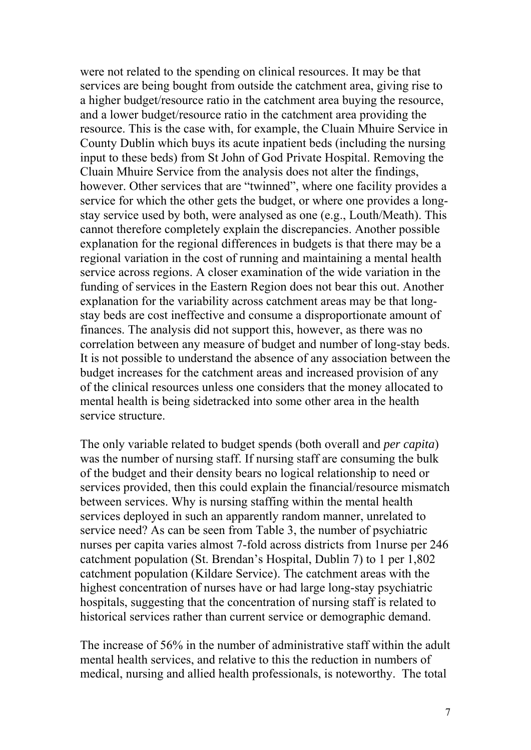were not related to the spending on clinical resources. It may be that services are being bought from outside the catchment area, giving rise to a higher budget/resource ratio in the catchment area buying the resource, and a lower budget/resource ratio in the catchment area providing the resource. This is the case with, for example, the Cluain Mhuire Service in County Dublin which buys its acute inpatient beds (including the nursing input to these beds) from St John of God Private Hospital. Removing the Cluain Mhuire Service from the analysis does not alter the findings, however. Other services that are "twinned", where one facility provides a service for which the other gets the budget, or where one provides a longstay service used by both, were analysed as one (e.g., Louth/Meath). This cannot therefore completely explain the discrepancies. Another possible explanation for the regional differences in budgets is that there may be a regional variation in the cost of running and maintaining a mental health service across regions. A closer examination of the wide variation in the funding of services in the Eastern Region does not bear this out. Another explanation for the variability across catchment areas may be that longstay beds are cost ineffective and consume a disproportionate amount of finances. The analysis did not support this, however, as there was no correlation between any measure of budget and number of long-stay beds. It is not possible to understand the absence of any association between the budget increases for the catchment areas and increased provision of any of the clinical resources unless one considers that the money allocated to mental health is being sidetracked into some other area in the health service structure.

The only variable related to budget spends (both overall and *per capita*) was the number of nursing staff. If nursing staff are consuming the bulk of the budget and their density bears no logical relationship to need or services provided, then this could explain the financial/resource mismatch between services. Why is nursing staffing within the mental health services deployed in such an apparently random manner, unrelated to service need? As can be seen from Table 3, the number of psychiatric nurses per capita varies almost 7-fold across districts from 1nurse per 246 catchment population (St. Brendan's Hospital, Dublin 7) to 1 per 1,802 catchment population (Kildare Service). The catchment areas with the highest concentration of nurses have or had large long-stay psychiatric hospitals, suggesting that the concentration of nursing staff is related to historical services rather than current service or demographic demand.

The increase of 56% in the number of administrative staff within the adult mental health services, and relative to this the reduction in numbers of medical, nursing and allied health professionals, is noteworthy. The total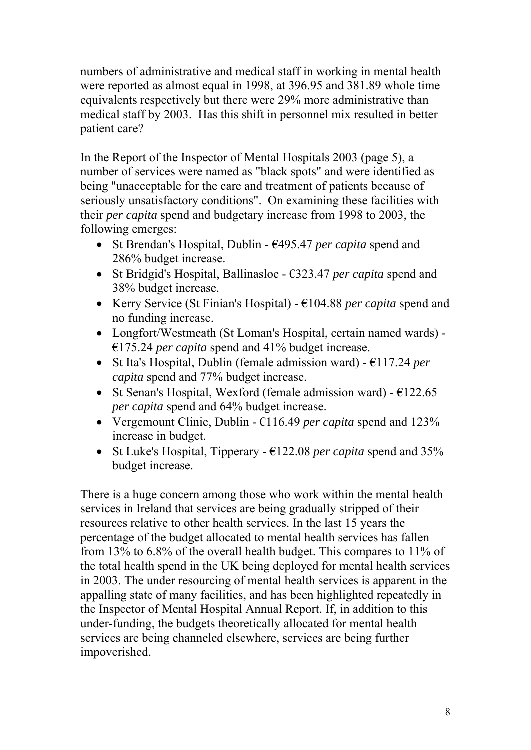numbers of administrative and medical staff in working in mental health were reported as almost equal in 1998, at 396.95 and 381.89 whole time equivalents respectively but there were 29% more administrative than medical staff by 2003. Has this shift in personnel mix resulted in better patient care?

In the Report of the Inspector of Mental Hospitals 2003 (page 5), a number of services were named as "black spots" and were identified as being "unacceptable for the care and treatment of patients because of seriously unsatisfactory conditions". On examining these facilities with their *per capita* spend and budgetary increase from 1998 to 2003, the following emerges:

- St Brendan's Hospital, Dublin €495.47 *per capita* spend and 286% budget increase.
- St Bridgid's Hospital, Ballinasloe €323.47 *per capita* spend and 38% budget increase.
- Kerry Service (St Finian's Hospital) €104.88 *per capita* spend and no funding increase.
- Longfort/Westmeath (St Loman's Hospital, certain named wards) €175.24 *per capita* spend and 41% budget increase.
- St Ita's Hospital, Dublin (female admission ward) €117.24 *per capita* spend and 77% budget increase.
- St Senan's Hospital, Wexford (female admission ward)  $\epsilon$ 122.65 *per capita* spend and 64% budget increase.
- Vergemount Clinic, Dublin €116.49 *per capita* spend and 123% increase in budget.
- St Luke's Hospital, Tipperary  $\epsilon$ 122.08 *per capita* spend and 35% budget increase.

There is a huge concern among those who work within the mental health services in Ireland that services are being gradually stripped of their resources relative to other health services. In the last 15 years the percentage of the budget allocated to mental health services has fallen from 13% to 6.8% of the overall health budget. This compares to 11% of the total health spend in the UK being deployed for mental health services in 2003. The under resourcing of mental health services is apparent in the appalling state of many facilities, and has been highlighted repeatedly in the Inspector of Mental Hospital Annual Report. If, in addition to this under-funding, the budgets theoretically allocated for mental health services are being channeled elsewhere, services are being further impoverished.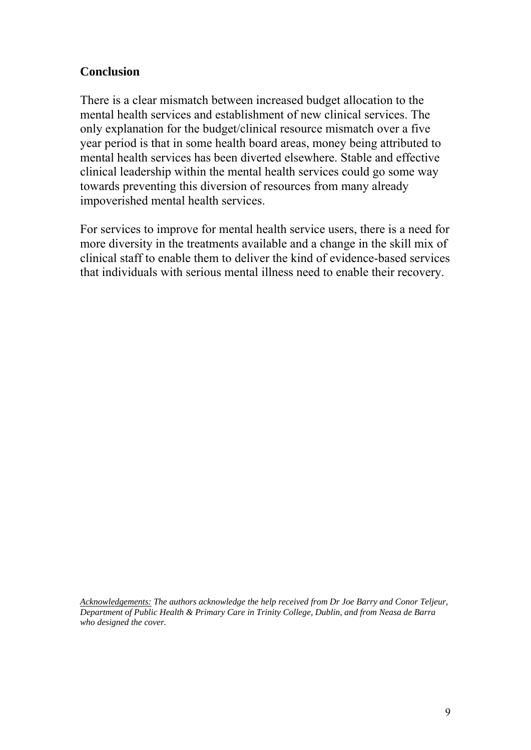## **Conclusion**

There is a clear mismatch between increased budget allocation to the mental health services and establishment of new clinical services. The only explanation for the budget/clinical resource mismatch over a five year period is that in some health board areas, money being attributed to mental health services has been diverted elsewhere. Stable and effective clinical leadership within the mental health services could go some way towards preventing this diversion of resources from many already impoverished mental health services.

For services to improve for mental health service users, there is a need for more diversity in the treatments available and a change in the skill mix of clinical staff to enable them to deliver the kind of evidence-based services that individuals with serious mental illness need to enable their recovery.

*Acknowledgements: The authors acknowledge the help received from Dr Joe Barry and Conor Teljeur, Department of Public Health & Primary Care in Trinity College, Dublin, and from Neasa de Barra who designed the cover.*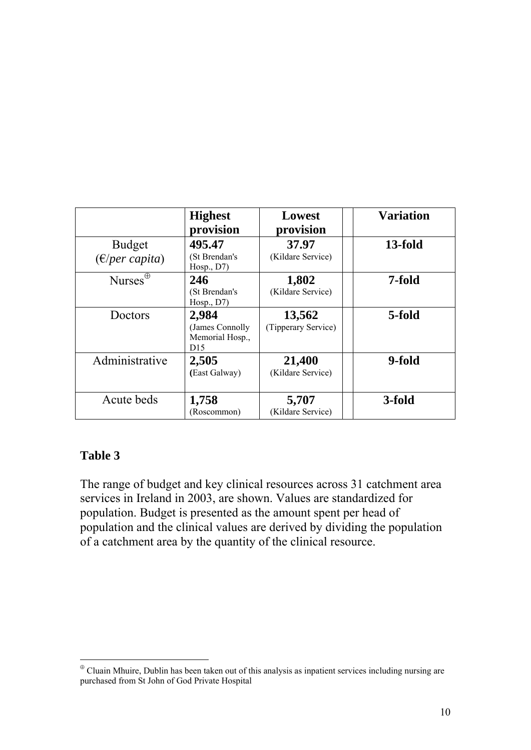|                                    | <b>Highest</b><br>provision                                    | Lowest<br>provision           | <b>Variation</b> |
|------------------------------------|----------------------------------------------------------------|-------------------------------|------------------|
| <b>Budget</b><br>$(E/per\ capita)$ | 495.47<br>(St Brendan's<br>Hosp., D7                           | 37.97<br>(Kildare Service)    | 13-fold          |
| Nurses $^{\oplus}$                 | 246<br>(St Brendan's<br>Hosp., D7)                             | 1,802<br>(Kildare Service)    | 7-fold           |
| Doctors                            | 2,984<br>(James Connolly<br>Memorial Hosp.,<br>D <sub>15</sub> | 13,562<br>(Tipperary Service) | 5-fold           |
| Administrative                     | 2,505<br>(East Galway)                                         | 21,400<br>(Kildare Service)   | 9-fold           |
| Acute beds                         | 1,758<br>(Roscommon)                                           | 5,707<br>(Kildare Service)    | 3-fold           |

# **Table 3**

 $\overline{a}$ 

The range of budget and key clinical resources across 31 catchment area services in Ireland in 2003, are shown. Values are standardized for population. Budget is presented as the amount spent per head of population and the clinical values are derived by dividing the population of a catchment area by the quantity of the clinical resource.

<sup>⊕</sup> Cluain Mhuire, Dublin has been taken out of this analysis as inpatient services including nursing are purchased from St John of God Private Hospital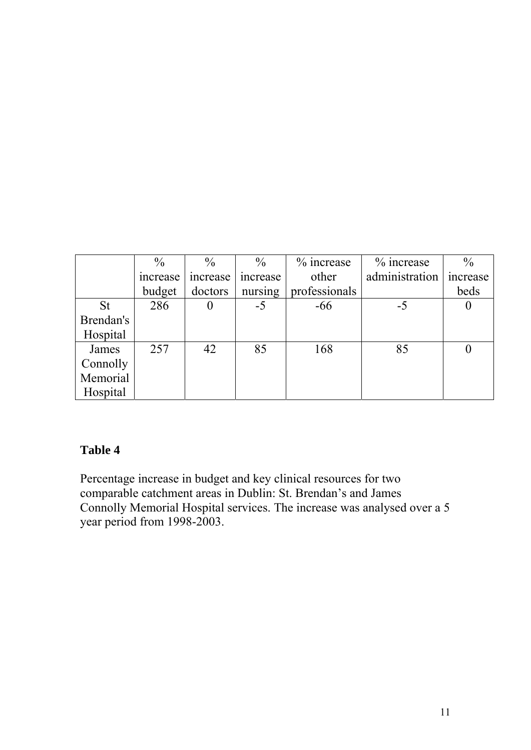|           | $\frac{0}{0}$ | $\frac{0}{0}$ | $\frac{0}{0}$ | $%$ increase  | % increase     | $\frac{0}{0}$ |
|-----------|---------------|---------------|---------------|---------------|----------------|---------------|
|           | increase      | increase      | increase      | other         | administration | increase      |
|           | budget        | doctors       | nursing       | professionals |                | beds          |
| <b>St</b> | 286           | $\bf{0}$      | $-5$          | $-66$         | $-5$           | 0             |
| Brendan's |               |               |               |               |                |               |
| Hospital  |               |               |               |               |                |               |
| James     | 257           | 42            | 85            | 168           | 85             |               |
| Connolly  |               |               |               |               |                |               |
| Memorial  |               |               |               |               |                |               |
| Hospital  |               |               |               |               |                |               |

## **Table 4**

Percentage increase in budget and key clinical resources for two comparable catchment areas in Dublin: St. Brendan's and James Connolly Memorial Hospital services. The increase was analysed over a 5 year period from 1998-2003.